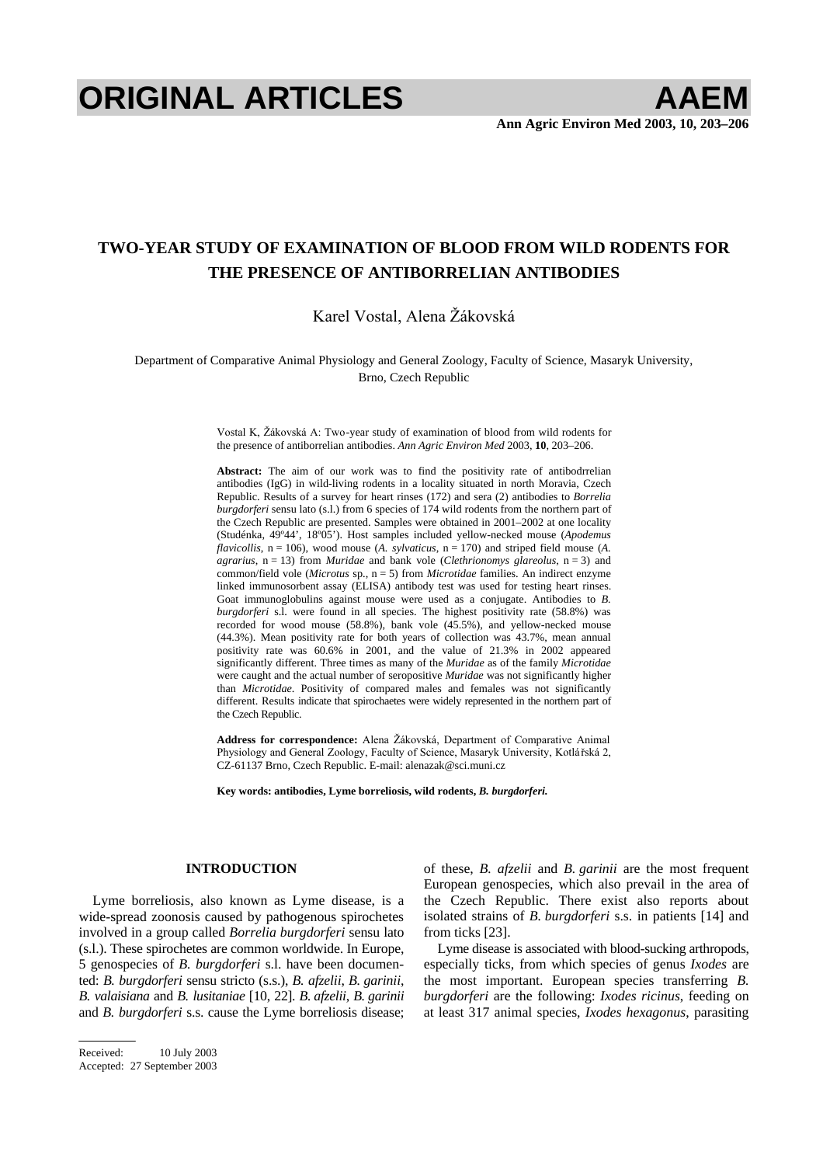# **ORIGINAL ARTICLES AAEM**

# **TWO-YEAR STUDY OF EXAMINATION OF BLOOD FROM WILD RODENTS FOR THE PRESENCE OF ANTIBORRELIAN ANTIBODIES**

Karel Vostal, Alena Žákovská

Department of Comparative Animal Physiology and General Zoology, Faculty of Science, Masaryk University, Brno, Czech Republic

> Vostal K, Žákovská A: Two-year study of examination of blood from wild rodents for the presence of antiborrelian antibodies. *Ann Agric Environ Med* 2003, **10**, 203–206.

> **Abstract:** The aim of our work was to find the positivity rate of antibodrrelian antibodies (IgG) in wild-living rodents in a locality situated in north Moravia, Czech Republic. Results of a survey for heart rinses (172) and sera (2) antibodies to *Borrelia burgdorferi* sensu lato (s.l.) from 6 species of 174 wild rodents from the northern part of the Czech Republic are presented. Samples were obtained in 2001–2002 at one locality (Studénka, 49º44', 18º05'). Host samples included yellow-necked mouse (*Apodemus flavicollis*,  $n = 106$ ), wood mouse (*A. sylvaticus*,  $n = 170$ ) and striped field mouse (*A. agrarius*, n = 13) from *Muridae* and bank vole (*Clethrionomys glareolus*, n = 3) and common/field vole (*Microtus* sp., n = 5) from *Microtidae* families. An indirect enzyme linked immunosorbent assay (ELISA) antibody test was used for testing heart rinses. Goat immunoglobulins against mouse were used as a conjugate. Antibodies to *B. burgdorferi* s.l. were found in all species. The highest positivity rate (58.8%) was recorded for wood mouse (58.8%), bank vole (45.5%), and yellow-necked mouse (44.3%). Mean positivity rate for both years of collection was 43.7%, mean annual positivity rate was 60.6% in 2001, and the value of 21.3% in 2002 appeared significantly different. Three times as many of the *Muridae* as of the family *Microtidae* were caught and the actual number of seropositive *Muridae* was not significantly higher than *Microtidae*. Positivity of compared males and females was not significantly different. Results indicate that spirochaetes were widely represented in the northern part of the Czech Republic.

> Address for correspondence: Alena Žákovská, Department of Comparative Animal Physiology and General Zoology, Faculty of Science, Masaryk University, Kotlářská 2, CZ-61137 Brno, Czech Republic. E-mail: alenazak@sci.muni.cz

**Key words: antibodies, Lyme borreliosis, wild rodents,** *B. burgdorferi.*

## **INTRODUCTION**

Lyme borreliosis, also known as Lyme disease, is a wide-spread zoonosis caused by pathogenous spirochetes involved in a group called *Borrelia burgdorferi* sensu lato (s.l.). These spirochetes are common worldwide. In Europe, 5 genospecies of *B. burgdorferi* s.l. have been documented: *B. burgdorferi* sensu stricto (s.s.), *B. afzelii*, *B. garinii*, *B. valaisiana* and *B. lusitaniae* [10, 22]. *B. afzelii*, *B. garinii* and *B. burgdorferi* s.s. cause the Lyme borreliosis disease; of these, *B. afzelii* and *B. garinii* are the most frequent European genospecies, which also prevail in the area of the Czech Republic. There exist also reports about isolated strains of *B. burgdorferi* s.s. in patients [14] and from ticks [23].

Lyme disease is associated with blood-sucking arthropods, especially ticks, from which species of genus *Ixodes* are the most important. European species transferring *B. burgdorferi* are the following: *Ixodes ricinus*, feeding on at least 317 animal species, *Ixodes hexagonus*, parasiting

Received: 10 July 2003

Accepted: 27 September 2003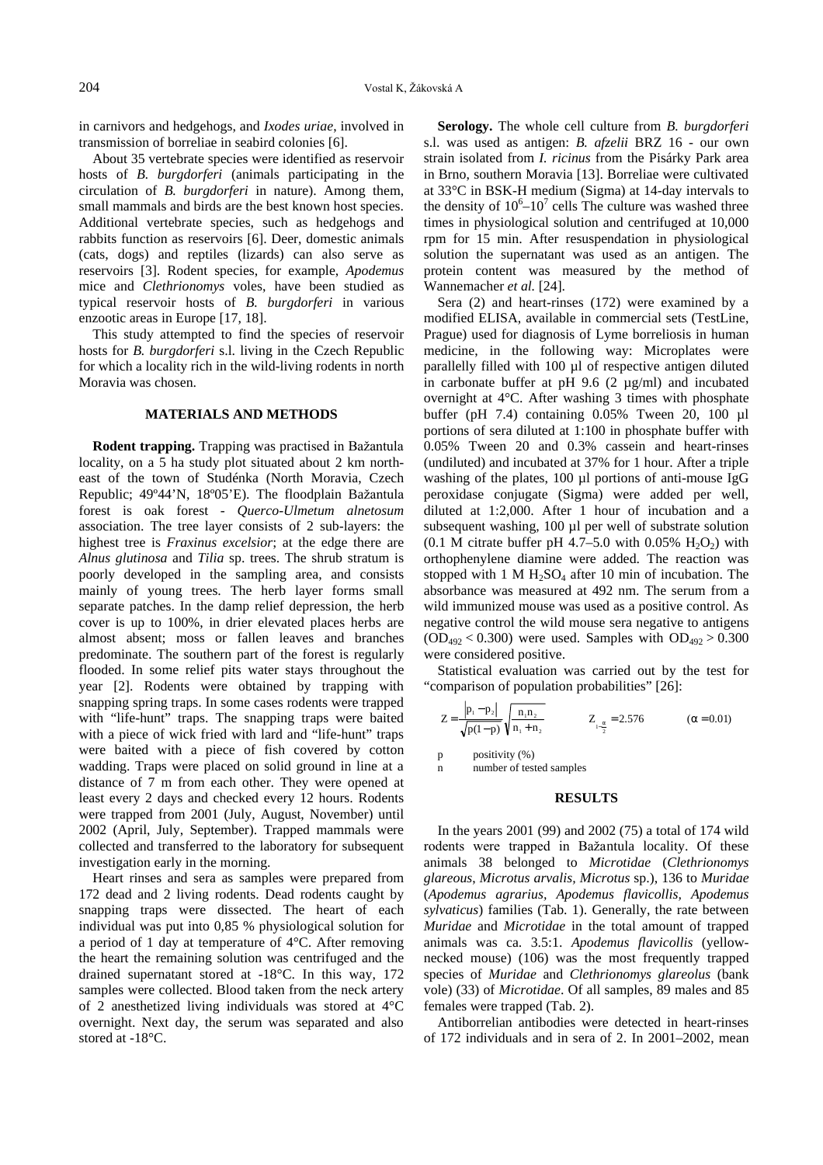in carnivors and hedgehogs, and *Ixodes uriae*, involved in transmission of borreliae in seabird colonies [6].

About 35 vertebrate species were identified as reservoir hosts of *B. burgdorferi* (animals participating in the circulation of *B. burgdorferi* in nature). Among them, small mammals and birds are the best known host species. Additional vertebrate species, such as hedgehogs and rabbits function as reservoirs [6]. Deer, domestic animals (cats, dogs) and reptiles (lizards) can also serve as reservoirs [3]. Rodent species, for example, *Apodemus* mice and *Clethrionomys* voles, have been studied as typical reservoir hosts of *B. burgdorferi* in various enzootic areas in Europe [17, 18].

This study attempted to find the species of reservoir hosts for *B. burgdorferi* s.l. living in the Czech Republic for which a locality rich in the wild-living rodents in north Moravia was chosen.

### **MATERIALS AND METHODS**

**Rodent trapping.** Trapping was practised in Bažantula locality, on a 5 ha study plot situated about 2 km northeast of the town of Studénka (North Moravia, Czech Republic; 49°44'N, 18°05'E). The floodplain Bažantula forest is oak forest - *Querco-Ulmetum alnetosum* association. The tree layer consists of 2 sub-layers: the highest tree is *Fraxinus excelsior*; at the edge there are *Alnus glutinosa* and *Tilia* sp. trees. The shrub stratum is poorly developed in the sampling area, and consists mainly of young trees. The herb layer forms small separate patches. In the damp relief depression, the herb cover is up to 100%, in drier elevated places herbs are almost absent; moss or fallen leaves and branches predominate. The southern part of the forest is regularly flooded. In some relief pits water stays throughout the year [2]. Rodents were obtained by trapping with snapping spring traps. In some cases rodents were trapped with "life-hunt" traps. The snapping traps were baited with a piece of wick fried with lard and "life-hunt" traps were baited with a piece of fish covered by cotton wadding. Traps were placed on solid ground in line at a distance of 7 m from each other. They were opened at least every 2 days and checked every 12 hours. Rodents were trapped from 2001 (July, August, November) until 2002 (April, July, September). Trapped mammals were collected and transferred to the laboratory for subsequent investigation early in the morning.

Heart rinses and sera as samples were prepared from 172 dead and 2 living rodents. Dead rodents caught by snapping traps were dissected. The heart of each individual was put into 0,85 % physiological solution for a period of 1 day at temperature of 4°C. After removing the heart the remaining solution was centrifuged and the drained supernatant stored at -18°C. In this way, 172 samples were collected. Blood taken from the neck artery of 2 anesthetized living individuals was stored at 4°C overnight. Next day, the serum was separated and also stored at -18°C.

**Serology.** The whole cell culture from *B. burgdorferi* s.l. was used as antigen: *B. afzelii* BRZ 16 - our own strain isolated from *I. ricinus* from the Pisárky Park area in Brno, southern Moravia [13]. Borreliae were cultivated at 33°C in BSK-H medium (Sigma) at 14-day intervals to the density of  $10^6$ – $10^7$  cells The culture was washed three times in physiological solution and centrifuged at 10,000 rpm for 15 min. After resuspendation in physiological solution the supernatant was used as an antigen. The protein content was measured by the method of Wannemacher *et al.* [24].

Sera (2) and heart-rinses (172) were examined by a modified ELISA, available in commercial sets (TestLine, Prague) used for diagnosis of Lyme borreliosis in human medicine, in the following way: Microplates were parallelly filled with 100 µl of respective antigen diluted in carbonate buffer at pH 9.6 (2 µg/ml) and incubated overnight at 4°C. After washing 3 times with phosphate buffer (pH 7.4) containing 0.05% Tween 20, 100 µl portions of sera diluted at 1:100 in phosphate buffer with 0.05% Tween 20 and 0.3% cassein and heart-rinses (undiluted) and incubated at 37% for 1 hour. After a triple washing of the plates, 100 µl portions of anti-mouse IgG peroxidase conjugate (Sigma) were added per well, diluted at 1:2,000. After 1 hour of incubation and a subsequent washing, 100 µl per well of substrate solution (0.1 M citrate buffer pH 4.7–5.0 with 0.05%  $H_2O_2$ ) with orthophenylene diamine were added. The reaction was stopped with 1 M  $H_2SO_4$  after 10 min of incubation. The absorbance was measured at 492 nm. The serum from a wild immunized mouse was used as a positive control. As negative control the wild mouse sera negative to antigens  $(OD_{492} < 0.300)$  were used. Samples with  $OD_{492} > 0.300$ were considered positive.

Statistical evaluation was carried out by the test for "comparison of population probabilities" [26]:

$$
Z = \frac{|p_1 - p_2|}{\sqrt{p(1-p)}} \sqrt{\frac{n_1 n_2}{n_1 + n_2}} \qquad Z_{1-\frac{\alpha}{2}} = 2.576 \qquad (\alpha = 0.01)
$$

p positivity (%)

n number of tested samples

#### **RESULTS**

In the years 2001 (99) and 2002 (75) a total of 174 wild rodents were trapped in Bažantula locality. Of these animals 38 belonged to *Microtidae* (*Clethrionomys glareous*, *Microtus arvalis, Microtus* sp.), 136 to *Muridae* (*Apodemus agrarius, Apodemus flavicollis, Apodemus sylvaticus*) families (Tab. 1). Generally, the rate between *Muridae* and *Microtidae* in the total amount of trapped animals was ca. 3.5:1. *Apodemus flavicollis* (yellownecked mouse) (106) was the most frequently trapped species of *Muridae* and *Clethrionomys glareolus* (bank vole) (33) of *Microtidae*. Of all samples, 89 males and 85 females were trapped (Tab. 2).

Antiborrelian antibodies were detected in heart-rinses of 172 individuals and in sera of 2. In 2001–2002, mean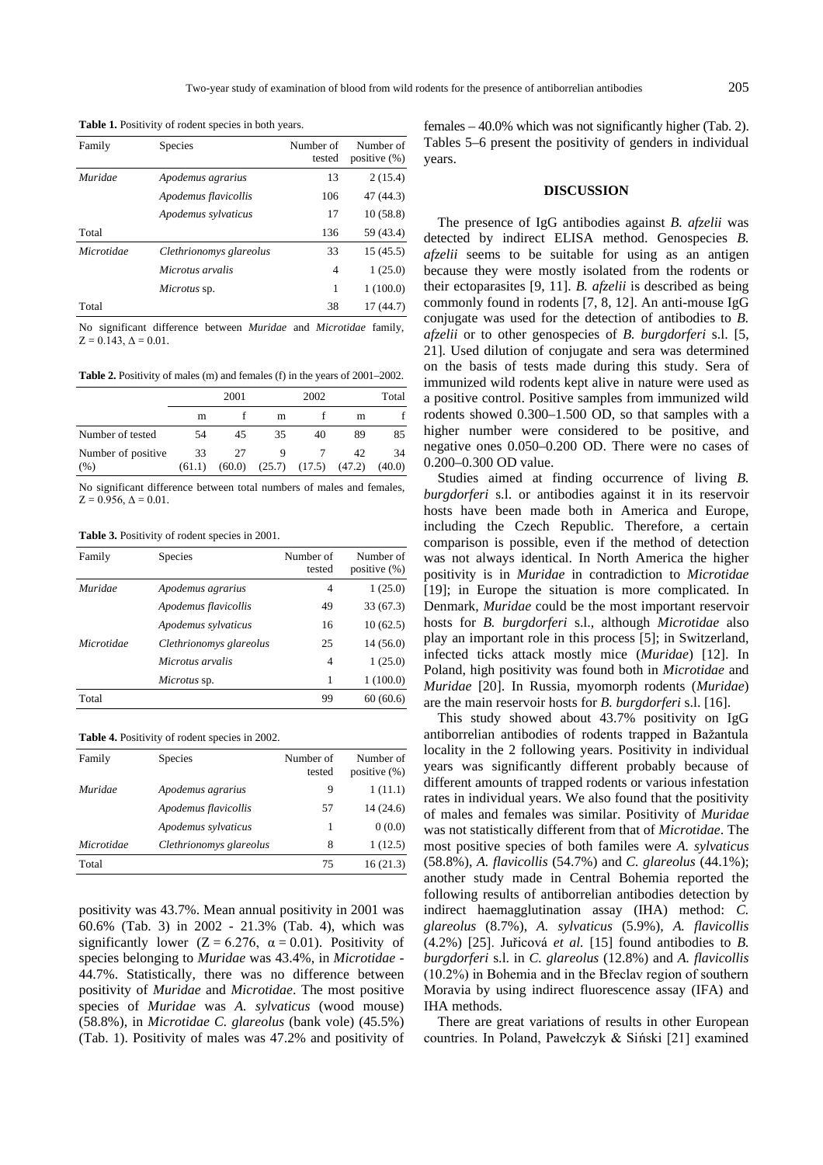**Table 1.** Positivity of rodent species in both years.

| Family     | Species                 | Number of<br>tested | Number of<br>positive $(\%)$ |
|------------|-------------------------|---------------------|------------------------------|
| Muridae    | Apodemus agrarius       | 13                  | 2(15.4)                      |
|            | Apodemus flavicollis    | 106                 | 47 (44.3)                    |
|            | Apodemus sylvaticus     | 17                  | 10(58.8)                     |
| Total      |                         | 136                 | 59 (43.4)                    |
| Microtidae | Clethrionomys glareolus | 33                  | 15(45.5)                     |
|            | Microtus arvalis        | 4                   | 1(25.0)                      |
|            | Microtus sp.            | 1                   | 1(100.0)                     |
| Total      |                         | 38                  | 17(44.7)                     |

No significant difference between *Muridae* and *Microtidae* family,  $Z = 0.143$ ,  $\Delta = 0.01$ .

**Table 2.** Positivity of males (m) and females (f) in the years of 2001–2002.

|                            |              | 2001         |    | 2002                       |    | Total        |
|----------------------------|--------------|--------------|----|----------------------------|----|--------------|
|                            | m            |              | m  |                            | m  |              |
| Number of tested           | 54           | 45           | 35 | 40                         | 89 | 85           |
| Number of positive<br>(% ) | 33<br>(61.1) | 27<br>(60.0) |    | $(25.7)$ $(17.5)$ $(47.2)$ | 42 | 34<br>(40.0) |

No significant difference between total numbers of males and females,  $Z = 0.956$ ,  $\Delta = 0.01$ .

Table 3. Positivity of rodent species in 2001.

| Family     | Species                 | Number of<br>tested | Number of<br>positive $(\%)$ |
|------------|-------------------------|---------------------|------------------------------|
| Muridae    | Apodemus agrarius       | 4                   | 1(25.0)                      |
|            | Apodemus flavicollis    | 49                  | 33(67.3)                     |
|            | Apodemus sylvaticus     | 16                  | 10(62.5)                     |
| Microtidae | Clethrionomys glareolus | 25                  | 14(56.0)                     |
|            | Microtus arvalis        | 4                   | 1(25.0)                      |
|            | <i>Microtus</i> sp.     | 1                   | 1(100.0)                     |
| Total      |                         | 99                  | 60(60.6)                     |

**Table 4.** Positivity of rodent species in 2002.

| Family     | <b>Species</b>          | Number of<br>tested | Number of<br>positive $(\%)$ |
|------------|-------------------------|---------------------|------------------------------|
| Muridae    | Apodemus agrarius       | 9                   | 1(11.1)                      |
|            | Apodemus flavicollis    | 57                  | 14(24.6)                     |
|            | Apodemus sylvaticus     | 1                   | 0(0.0)                       |
| Microtidae | Clethrionomys glareolus | 8                   | 1(12.5)                      |
| Total      |                         | 75                  | 16(21.3)                     |

positivity was 43.7%. Mean annual positivity in 2001 was 60.6% (Tab. 3) in 2002 - 21.3% (Tab. 4), which was significantly lower ( $Z = 6.276$ ,  $\alpha = 0.01$ ). Positivity of species belonging to *Muridae* was 43.4%, in *Microtidae* - 44.7%. Statistically, there was no difference between positivity of *Muridae* and *Microtidae*. The most positive species of *Muridae* was *A. sylvaticus* (wood mouse) (58.8%), in *Microtidae C. glareolus* (bank vole) (45.5%) (Tab. 1). Positivity of males was 47.2% and positivity of females – 40.0% which was not significantly higher (Tab. 2). Tables 5–6 present the positivity of genders in individual years.

#### **DISCUSSION**

The presence of IgG antibodies against *B. afzelii* was detected by indirect ELISA method. Genospecies *B. afzelii* seems to be suitable for using as an antigen because they were mostly isolated from the rodents or their ectoparasites [9, 11]. *B. afzelii* is described as being commonly found in rodents [7, 8, 12]. An anti-mouse IgG conjugate was used for the detection of antibodies to *B. afzelii* or to other genospecies of *B. burgdorferi* s.l. [5, 21]. Used dilution of conjugate and sera was determined on the basis of tests made during this study. Sera of immunized wild rodents kept alive in nature were used as a positive control. Positive samples from immunized wild rodents showed 0.300–1.500 OD, so that samples with a higher number were considered to be positive, and negative ones 0.050–0.200 OD. There were no cases of 0.200–0.300 OD value.

Studies aimed at finding occurrence of living *B. burgdorferi* s.l. or antibodies against it in its reservoir hosts have been made both in America and Europe, including the Czech Republic. Therefore, a certain comparison is possible, even if the method of detection was not always identical. In North America the higher positivity is in *Muridae* in contradiction to *Microtidae* [19]; in Europe the situation is more complicated. In Denmark, *Muridae* could be the most important reservoir hosts for *B. burgdorferi* s.l., although *Microtidae* also play an important role in this process [5]; in Switzerland, infected ticks attack mostly mice (*Muridae*) [12]. In Poland, high positivity was found both in *Microtidae* and *Muridae* [20]. In Russia, myomorph rodents (*Muridae*) are the main reservoir hosts for *B. burgdorferi* s.l. [16].

This study showed about 43.7% positivity on IgG antiborrelian antibodies of rodents trapped in Bažantula locality in the 2 following years. Positivity in individual years was significantly different probably because of different amounts of trapped rodents or various infestation rates in individual years. We also found that the positivity of males and females was similar. Positivity of *Muridae* was not statistically different from that of *Microtidae*. The most positive species of both familes were *A. sylvaticus* (58.8%), *A. flavicollis* (54.7%) and *C. glareolus* (44.1%); another study made in Central Bohemia reported the following results of antiborrelian antibodies detection by indirect haemagglutination assay (IHA) method: *C. glareolus* (8.7%), *A. sylvaticus* (5.9%), *A. flavicollis*  $(4.2\%)$  [25]. Juřicová *et al.* [15] found antibodies to *B*. *burgdorferi* s.l. in *C. glareolus* (12.8%) and *A. flavicollis*  $(10.2\%)$  in Bohemia and in the Břeclav region of southern Moravia by using indirect fluorescence assay (IFA) and IHA methods.

There are great variations of results in other European countries. In Poland, Pawełczyk & Siński [21] examined